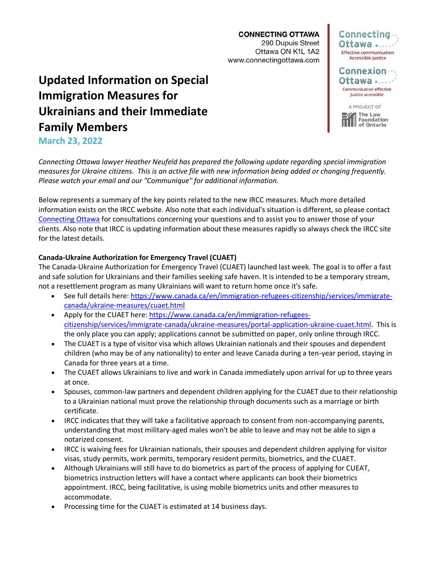**CONNECTING OTTAWA** 290 Dupuis Street Ottawa ON K1L 1A2 www.connectingottawa.com

# **Updated Information on Special Immigration Measures for Ukrainians and their Immediate Family Members**



of Ontario

# **March 23, 2022**

*Connecting Ottawa lawyer Heather Neufeld has prepared the following update regarding special immigration measures for Ukraine citizens. This is an active file with new information being added or changing frequently. Please watch your email and our "Communique" for additional information.*

Below represents a summary of the key points related to the new IRCC measures. Much more detailed information exists on the IRCC website. Also note that each individual's situation is different, so please contact [Connecting Ottawa](mailto:info@connectingottawa.com) for consultations concerning your questions and to assist you to answer those of your clients. Also note that IRCC is updating information about these measures rapidly so always check the IRCC site for the latest details.

# **Canada-Ukraine Authorization for Emergency Travel (CUAET)**

The Canada-Ukraine Authorization for Emergency Travel (CUAET) launched last week. The goal is to offer a fast and safe solution for Ukrainians and their families seeking safe haven. It is intended to be a temporary stream, not a resettlement program as many Ukrainians will want to return home once it's safe.

- See full details here: [https://www.canada.ca/en/immigration-refugees-citizenship/services/immigrate](https://www.canada.ca/en/immigration-refugees-citizenship/services/immigrate-canada/ukraine-measures/cuaet.html)[canada/ukraine-measures/cuaet.html](https://www.canada.ca/en/immigration-refugees-citizenship/services/immigrate-canada/ukraine-measures/cuaet.html)
- Apply for the CUAET here: [https://www.canada.ca/en/immigration-refugees](https://www.canada.ca/en/immigration-refugees-citizenship/services/immigrate-canada/ukraine-measures/portal-application-ukraine-cuaet.html)[citizenship/services/immigrate-canada/ukraine-measures/portal-application-ukraine-cuaet.html.](https://www.canada.ca/en/immigration-refugees-citizenship/services/immigrate-canada/ukraine-measures/portal-application-ukraine-cuaet.html) This is the only place you can apply; applications cannot be submitted on paper, only online through IRCC.
- The CUAET is a type of visitor visa which allows Ukrainian nationals and their spouses and dependent children (who may be of any nationality) to enter and leave Canada during a ten-year period, staying in Canada for three years at a time.
- The CUAET allows Ukrainians to live and work in Canada immediately upon arrival for up to three years at once.
- Spouses, common-law partners and dependent children applying for the CUAET due to their relationship to a Ukrainian national must prove the relationship through documents such as a marriage or birth certificate.
- IRCC indicates that they will take a facilitative approach to consent from non-accompanying parents, understanding that most military-aged males won't be able to leave and may not be able to sign a notarized consent.
- IRCC is waiving fees for Ukrainian nationals, their spouses and dependent children applying for visitor visas, study permits, work permits, temporary resident permits, biometrics, and the CUAET.
- Although Ukrainians will still have to do biometrics as part of the process of applying for CUEAT, biometrics instruction letters will have a contact where applicants can book their biometrics appointment. IRCC, being facilitative, is using mobile biometrics units and other measures to accommodate.
- Processing time for the CUAET is estimated at 14 business days.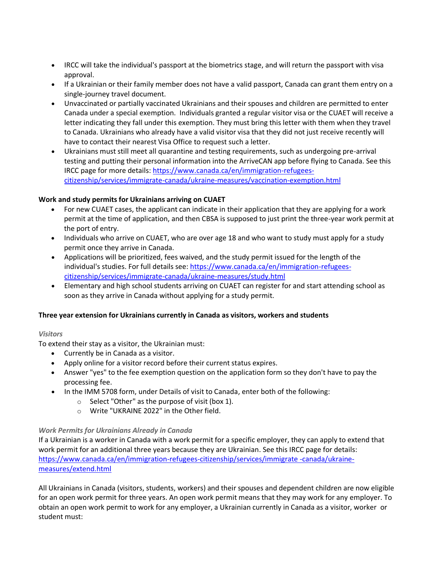- IRCC will take the individual's passport at the biometrics stage, and will return the passport with visa approval.
- If a Ukrainian or their family member does not have a valid passport, Canada can grant them entry on a single-journey travel document.
- Unvaccinated or partially vaccinated Ukrainians and their spouses and children are permitted to enter Canada under a special exemption. Individuals granted a regular visitor visa or the CUAET will receive a letter indicating they fall under this exemption. They must bring this letter with them when they travel to Canada. Ukrainians who already have a valid visitor visa that they did not just receive recently will have to contact their nearest Visa Office to request such a letter.
- Ukrainians must still meet all quarantine and testing requirements, such as undergoing pre-arrival testing and putting their personal information into the ArriveCAN app before flying to Canada. See this IRCC page for more details: [https://www.canada.ca/en/immigration-refugees](https://www.canada.ca/en/immigration-refugees-citizenship/services/immigrate-canada/ukraine-measures/vaccination-exemption.html)[citizenship/services/immigrate-canada/ukraine-measures/vaccination-exemption.html](https://www.canada.ca/en/immigration-refugees-citizenship/services/immigrate-canada/ukraine-measures/vaccination-exemption.html)

# **Work and study permits for Ukrainians arriving on CUAET**

- For new CUAET cases, the applicant can indicate in their application that they are applying for a work permit at the time of application, and then CBSA is supposed to just print the three-year work permit at the port of entry.
- Individuals who arrive on CUAET, who are over age 18 and who want to study must apply for a study permit once they arrive in Canada.
- Applications will be prioritized, fees waived, and the study permit issued for the length of the individual's studies. For full details see: [https://www.canada.ca/en/immigration-refugees](https://www.canada.ca/en/immigration-refugees-citizenship/services/immigrate-canada/ukraine-measures/study.html)[citizenship/services/immigrate-canada/ukraine-measures/study.html](https://www.canada.ca/en/immigration-refugees-citizenship/services/immigrate-canada/ukraine-measures/study.html)
- Elementary and high school students arriving on CUAET can register for and start attending school as soon as they arrive in Canada without applying for a study permit.

#### **Three year extension for Ukrainians currently in Canada as visitors, workers and students**

#### *Visitors*

To extend their stay as a visitor, the Ukrainian must:

- Currently be in Canada as a visitor.
- Apply online for a visitor record before their current status expires.
- Answer "yes" to the fee exemption question on the application form so they don't have to pay the processing fee.
- In the IMM 5708 form, under Details of visit to Canada, enter both of the following:
	- o Select "Other" as the purpose of visit (box 1).
	- o Write "UKRAINE 2022" in the Other field.

# *Work Permits for Ukrainians Already in Canada*

If a Ukrainian is a worker in Canada with a work permit for a specific employer, they can apply to extend that work permit for an additional three years because they are Ukrainian. See this IRCC page for details: [https://www.canada.ca/en/immigration-refugees-citizenship/services/immigrate -canada/ukraine](https://www.canada.ca/en/immigration-refugees-citizenship/services/immigrate-canada/ukraine-measures/extend.html)[measures/extend.html](https://www.canada.ca/en/immigration-refugees-citizenship/services/immigrate-canada/ukraine-measures/extend.html)

All Ukrainians in Canada (visitors, students, workers) and their spouses and dependent children are now eligible for an open work permit for three years. An open work permit means that they may work for any employer. To obtain an open work permit to work for any employer, a Ukrainian currently in Canada as a visitor, worker or student must: